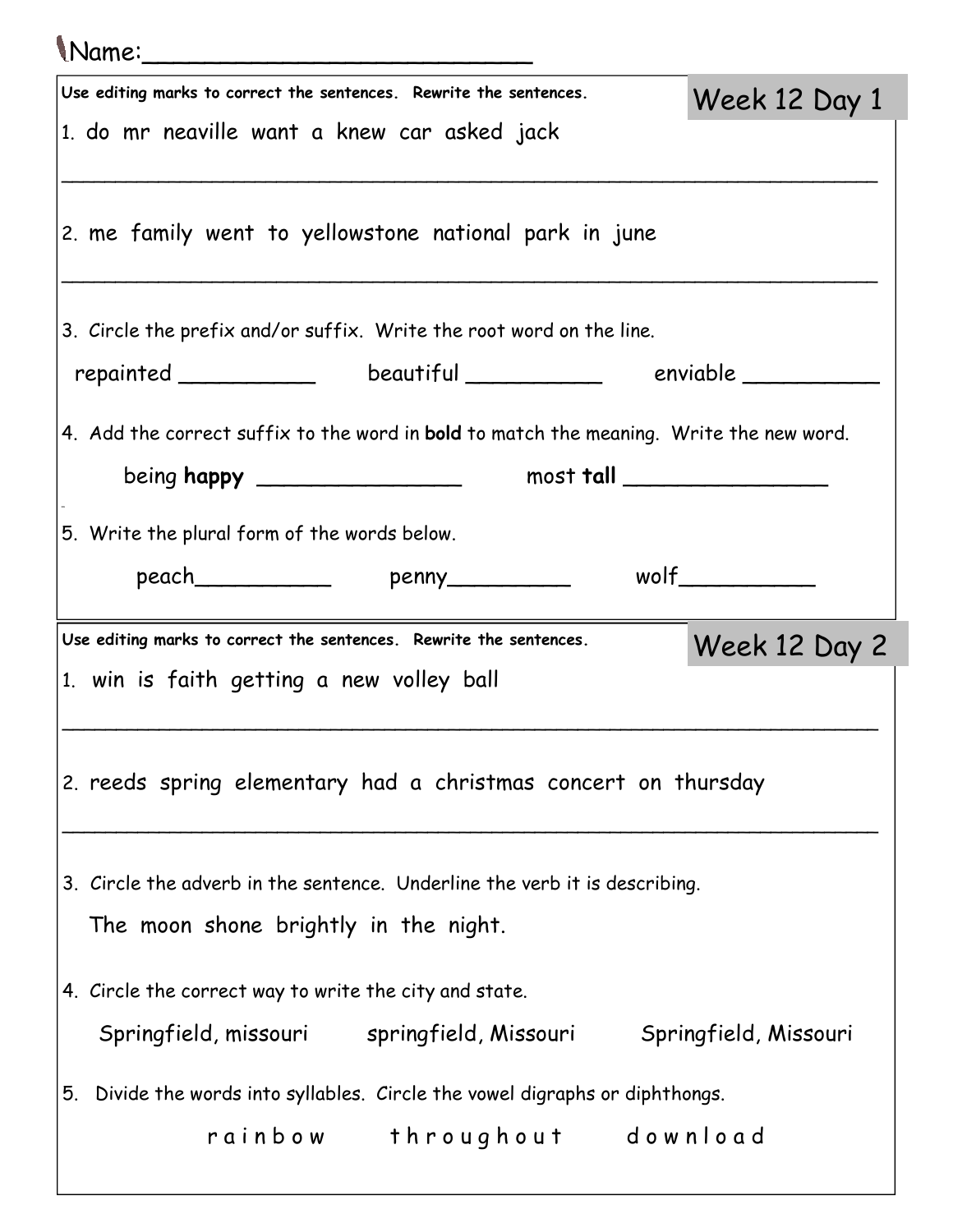| Mame:                                                                                                               |                         |  |
|---------------------------------------------------------------------------------------------------------------------|-------------------------|--|
| Use editing marks to correct the sentences. Rewrite the sentences.                                                  | Week 12 Day 1           |  |
| 1. do mr neaville want a knew car asked jack                                                                        |                         |  |
| 2. me family went to yellowstone national park in june                                                              |                         |  |
| 3. Circle the prefix and/or suffix. Write the root word on the line.                                                |                         |  |
| repainted ______________ beautiful ____________ enviable __________                                                 |                         |  |
| 4. Add the correct suffix to the word in bold to match the meaning. Write the new word.                             |                         |  |
|                                                                                                                     |                         |  |
| 5. Write the plural form of the words below.                                                                        |                         |  |
|                                                                                                                     | $w$ olf $\qquad \qquad$ |  |
| Use editing marks to correct the sentences. Rewrite the sentences.<br>1. win is faith getting a new volley ball     | Week 12 Day 2           |  |
| 2. reeds spring elementary had a christmas concert on thursday                                                      |                         |  |
| 3. Circle the adverb in the sentence. Underline the verb it is describing.<br>The moon shone brightly in the night. |                         |  |
| 4. Circle the correct way to write the city and state.                                                              |                         |  |
| Springfield, missouri springfield, Missouri                                                                         | Springfield, Missouri   |  |
| 5. Divide the words into syllables. Circle the vowel digraphs or diphthongs.                                        |                         |  |
| rainbow throughout download                                                                                         |                         |  |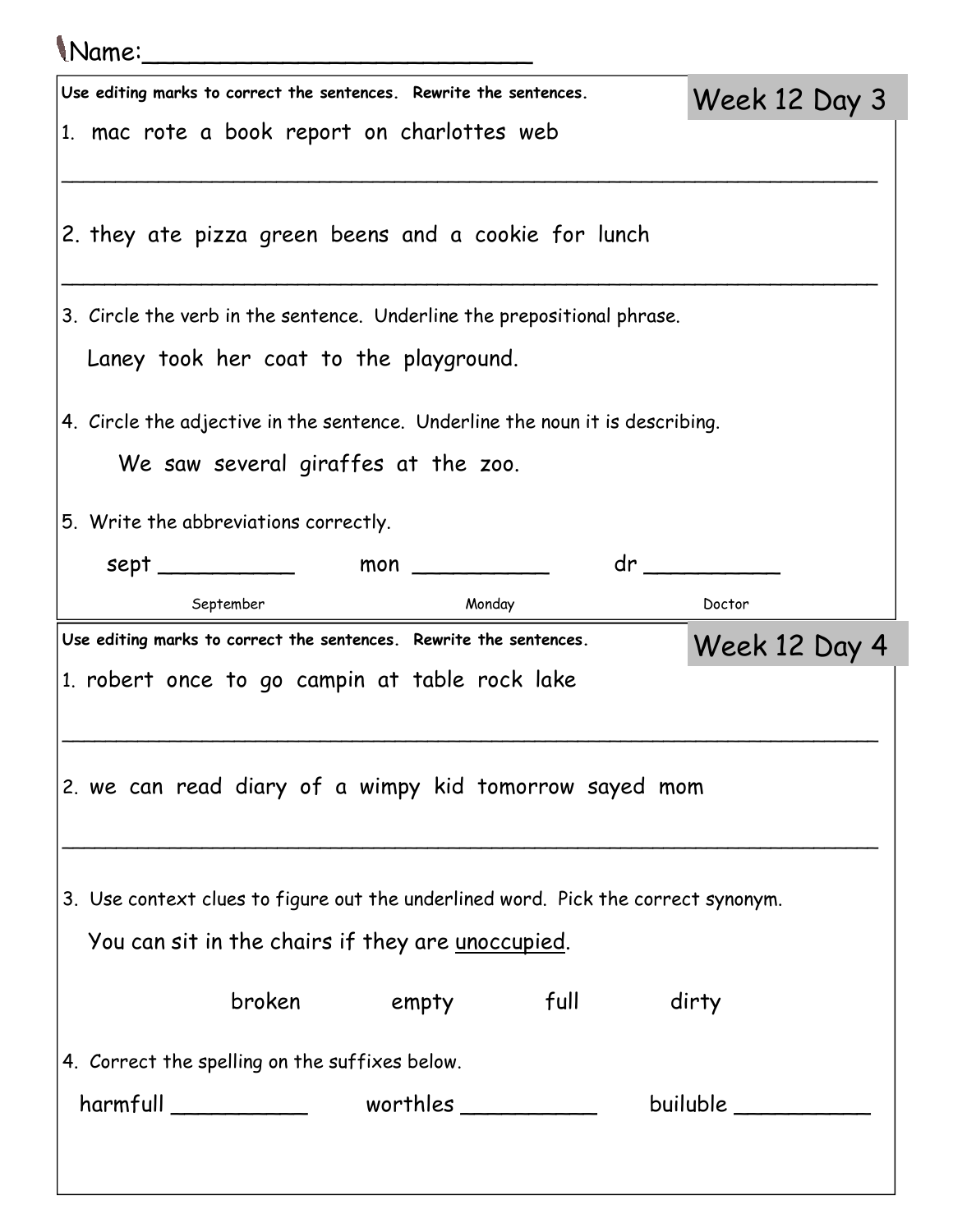## Name:\_\_\_\_\_\_\_\_\_\_\_\_\_\_\_\_\_\_\_\_\_\_\_\_\_ Use editing marks to correct the sentences. Rewrite the sentences. 1. mac rote a book report on charlottes web \_\_\_\_\_\_\_\_\_\_\_\_\_\_\_\_\_\_\_\_\_\_\_\_\_\_\_\_\_\_\_\_\_\_\_\_\_\_\_\_\_\_\_\_\_\_\_\_\_\_\_\_\_\_\_\_\_\_\_\_\_\_\_\_\_\_\_\_\_\_\_\_\_\_\_\_ 2. they ate pizza green beens and a cookie for lunch \_\_\_\_\_\_\_\_\_\_\_\_\_\_\_\_\_\_\_\_\_\_\_\_\_\_\_\_\_\_\_\_\_\_\_\_\_\_\_\_\_\_\_\_\_\_\_\_\_\_\_\_\_\_\_\_\_\_\_\_\_\_\_\_\_\_\_\_\_\_\_\_\_\_\_\_ 3. Circle the verb in the sentence. Underline the prepositional phrase. Laney took her coat to the playground. 4. Circle the adjective in the sentence. Underline the noun it is describing. We saw several giraffes at the zoo. 5. Write the abbreviations correctly. sept \_\_\_\_\_\_\_\_\_\_\_\_\_\_ mon \_\_\_\_\_\_\_\_\_\_\_\_\_ dr \_\_\_\_\_\_\_\_\_\_\_\_ September Monday Monday Doctor Week 12 Day 3 Use editing marks to correct the sentences. Rewrite the sentences. 1. robert once to go campin at table rock lake \_\_\_\_\_\_\_\_\_\_\_\_\_\_\_\_\_\_\_\_\_\_\_\_\_\_\_\_\_\_\_\_\_\_\_\_\_\_\_\_\_\_\_\_\_\_\_\_\_\_\_\_\_\_\_\_\_\_\_\_\_\_\_\_\_\_\_\_\_\_\_\_\_\_\_\_ 2. we can read diary of a wimpy kid tomorrow sayed mom \_\_\_\_\_\_\_\_\_\_\_\_\_\_\_\_\_\_\_\_\_\_\_\_\_\_\_\_\_\_\_\_\_\_\_\_\_\_\_\_\_\_\_\_\_\_\_\_\_\_\_\_\_\_\_\_\_\_\_\_\_\_\_\_\_\_\_\_\_\_\_\_\_\_\_\_ 3. Use context clues to figure out the underlined word. Pick the correct synonym. You can sit in the chairs if they are unoccupied. broken empty full dirty 4. Correct the spelling on the suffixes below. harmfull \_\_\_\_\_\_\_\_\_\_ worthles \_\_\_\_\_\_\_\_\_\_ builuble \_\_\_\_\_\_\_\_\_\_ Week 12 Day 4